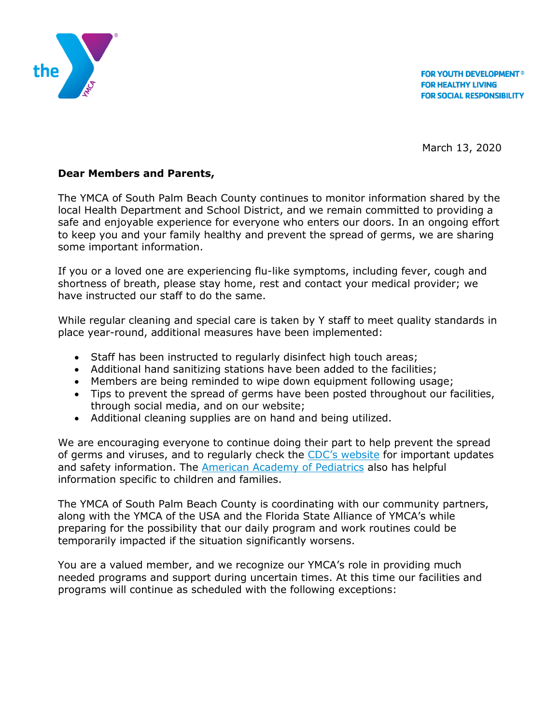

**FOR YOUTH DEVELOPMENT<sup>®</sup> FOR HEALTHY LIVING FOR SOCIAL RESPONSIBILITY** 

March 13, 2020

## **Dear Members and Parents,**

The YMCA of South Palm Beach County continues to monitor information shared by the local Health Department and School District, and we remain committed to providing a safe and enjoyable experience for everyone who enters our doors. In an ongoing effort to keep you and your family healthy and prevent the spread of germs, we are sharing some important information.

If you or a loved one are experiencing flu-like symptoms, including fever, cough and shortness of breath, please stay home, rest and contact your medical provider; we have instructed our staff to do the same.

While regular cleaning and special care is taken by Y staff to meet quality standards in place year-round, additional measures have been implemented:

- Staff has been instructed to regularly disinfect high touch areas;
- Additional hand sanitizing stations have been added to the facilities;
- Members are being reminded to wipe down equipment following usage;
- Tips to prevent the spread of germs have been posted throughout our facilities, through social media, and on our website;
- Additional cleaning supplies are on hand and being utilized.

We are encouraging everyone to continue doing their part to help prevent the spread of germs and viruses, and to regularly check the [CDC's website](https://www.cdc.gov/coronavirus/2019-ncov/index.html) for important updates and safety information. The [American Academy of Pediatrics](https://www.healthychildren.org/English/health-issues/conditions/chest-lungs/Pages/2019-Novel-Coronavirus.aspx) also has helpful information specific to children and families.

The YMCA of South Palm Beach County is coordinating with our community partners, along with the YMCA of the USA and the Florida State Alliance of YMCA's while preparing for the possibility that our daily program and work routines could be temporarily impacted if the situation significantly worsens.

You are a valued member, and we recognize our YMCA's role in providing much needed programs and support during uncertain times. At this time our facilities and programs will continue as scheduled with the following exceptions: